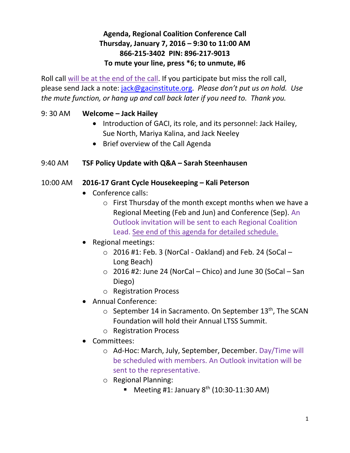# **Agenda, Regional Coalition Conference Call Thursday, January 7, 2016 – 9:30 to 11:00 AM 866-215-3402 PIN: 896-217-9013 To mute your line, press \*6; to unmute, #6**

Roll call will be at the end of the call. If you participate but miss the roll call, please send Jack a note: [jack@gacinstitute.org.](mailto:jack@gacinstitute.org) *Please don't put us on hold. Use the mute function, or hang up and call back later if you need to. Thank you.*

## 9: 30 AM **Welcome – Jack Hailey**

- Introduction of GACI, its role, and its personnel: Jack Hailey, Sue North, Mariya Kalina, and Jack Neeley
- Brief overview of the Call Agenda

#### 9:40 AM **TSF Policy Update with Q&A – Sarah Steenhausen**

#### 10:00 AM **2016-17 Grant Cycle Housekeeping – Kali Peterson**

- Conference calls:
	- o First Thursday of the month except months when we have a Regional Meeting (Feb and Jun) and Conference (Sep). An Outlook invitation will be sent to each Regional Coalition Lead. See end of this agenda for detailed schedule.
- Regional meetings:
	- $\circ$  2016 #1: Feb. 3 (NorCal Oakland) and Feb. 24 (SoCal  $-$ Long Beach)
	- $\circ$  2016 #2: June 24 (NorCal Chico) and June 30 (SoCal San Diego)
	- o Registration Process
- Annual Conference:
	- $\circ$  September 14 in Sacramento. On September 13<sup>th</sup>, The SCAN Foundation will hold their Annual LTSS Summit.
	- o Registration Process
- Committees:
	- o Ad-Hoc: March, July, September, December. Day/Time will be scheduled with members. An Outlook invitation will be sent to the representative.
	- o Regional Planning:
		- **Meeting #1: January 8<sup>th</sup> (10:30-11:30 AM)**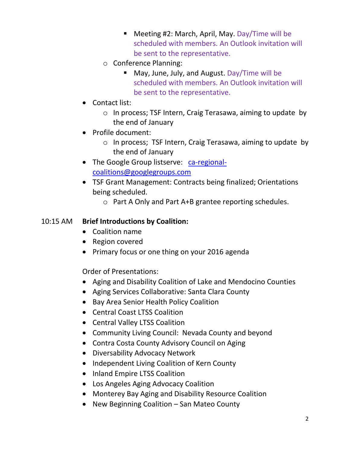- Meeting #2: March, April, May. Day/Time will be scheduled with members. An Outlook invitation will be sent to the representative.
- o Conference Planning:
	- May, June, July, and August. Day/Time will be scheduled with members. An Outlook invitation will be sent to the representative.
- Contact list:
	- o In process; TSF Intern, Craig Terasawa, aiming to update by the end of January
- Profile document:
	- o In process; TSF Intern, Craig Terasawa, aiming to update by the end of January
- The Google Group listserve: [ca-regional](mailto:ca-regional-coalitions@googlegroups.com)[coalitions@googlegroups.com](mailto:ca-regional-coalitions@googlegroups.com)
- TSF Grant Management: Contracts being finalized; Orientations being scheduled.
	- o Part A Only and Part A+B grantee reporting schedules.

#### 10:15 AM **Brief Introductions by Coalition:**

- Coalition name
- Region covered
- Primary focus or one thing on your 2016 agenda

Order of Presentations:

- Aging and Disability Coalition of Lake and Mendocino Counties
- Aging Services Collaborative: Santa Clara County
- Bay Area Senior Health Policy Coalition
- Central Coast LTSS Coalition
- Central Valley LTSS Coalition
- Community Living Council: Nevada County and beyond
- Contra Costa County Advisory Council on Aging
- Diversability Advocacy Network
- Independent Living Coalition of Kern County
- Inland Empire LTSS Coalition
- Los Angeles Aging Advocacy Coalition
- Monterey Bay Aging and Disability Resource Coalition
- New Beginning Coalition San Mateo County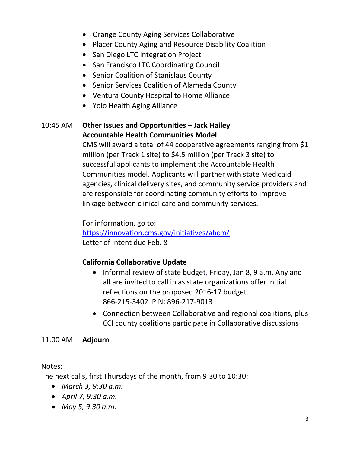- Orange County Aging Services Collaborative
- Placer County Aging and Resource Disability Coalition
- San Diego LTC Integration Project
- San Francisco LTC Coordinating Council
- Senior Coalition of Stanislaus County
- Senior Services Coalition of Alameda County
- Ventura County Hospital to Home Alliance
- Yolo Health Aging Alliance

# 10:45 AM **Other Issues and Opportunities – Jack Hailey Accountable Health Communities Model**

CMS will award a total of 44 cooperative agreements ranging from \$1 million (per Track 1 site) to \$4.5 million (per Track 3 site) to successful applicants to implement the Accountable Health Communities model. Applicants will partner with state Medicaid agencies, clinical delivery sites, and community service providers and are responsible for coordinating community efforts to improve linkage between clinical care and community services.

For information, go to: <https://innovation.cms.gov/initiatives/ahcm/> Letter of Intent due Feb. 8

# **California Collaborative Update**

- Informal review of state budget, Friday, Jan 8, 9 a.m. Any and all are invited to call in as state organizations offer initial reflections on the proposed 2016-17 budget. 866-215-3402 PIN: 896-217-9013
- Connection between Collaborative and regional coalitions, plus CCI county coalitions participate in Collaborative discussions

## 11:00 AM **Adjourn**

#### Notes:

The next calls, first Thursdays of the month, from 9:30 to 10:30:

- *March 3, 9:30 a.m.*
- *April 7, 9:30 a.m.*
- *May 5, 9:30 a.m.*